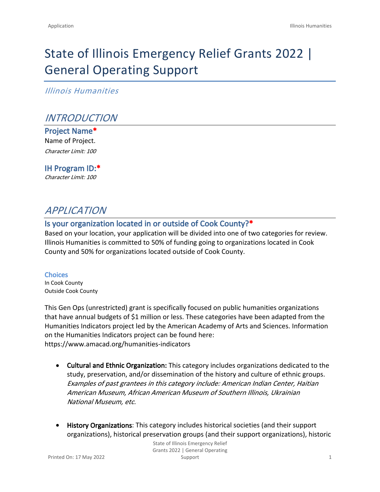# State of Illinois Emergency Relief Grants 2022 | General Operating Support

*Illinois Humanities*

## *INTRODUCTION*

**Project Name\*** Name of Project. *Character Limit: 100*

## **IH Program ID:\***

*Character Limit: 100*

## *APPLICATION*

#### **Is your organization located in or outside of Cook County?\***

Based on your location, your application will be divided into one of two categories for review. Illinois Humanities is committed to 50% of funding going to organizations located in Cook County and 50% for organizations located outside of Cook County.

**Choices** In Cook County Outside Cook County

This Gen Ops (unrestricted) grant is specifically focused on public humanities organizations that have annual budgets of \$1 million or less. These categories have been adapted from the Humanities Indicators project led by the American Academy of Arts and Sciences. Information on the Humanities Indicators project can be found [here](file:///Users/chris.guzaitis/Downloads/State_of_IL_money___Grant_invite_and_grant_application%20(1)%202/here): <https://www.amacad.org/humanities-indicators>

- **Cultural and Ethnic Organization:** This category includes organizations dedicated to the study, preservation, and/or dissemination of the history and culture of ethnic groups. *Examples of past grantees in this category include: American Indian Center, Haitian American Museum, African American Museum of Southern Illinois, Ukrainian National Museum, etc.*
- **History Organizations**: This category includes historical societies (and their support organizations), historical preservation groups (and their support organizations), historic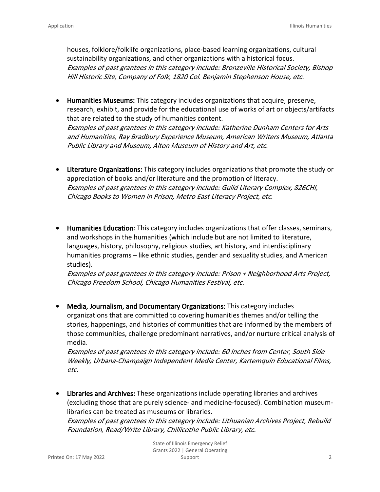houses, folklore/folklife organizations, place-based learning organizations, cultural sustainability organizations, and other organizations with a historical focus. *Examples of past grantees in this category include: Bronzeville Historical Society, Bishop Hill Historic Site, Company of Folk, 1820 Col. Benjamin Stephenson House, etc.*

- **Humanities Museums:** This category includes organizations that acquire, preserve, research, exhibit, and provide for the educational use of works of art or objects/artifacts that are related to the study of humanities content. *Examples of past grantees in this category include: Katherine Dunham Centers for Arts and Humanities, Ray Bradbury Experience Museum, American Writers Museum, Atlanta Public Library and Museum, Alton Museum of History and Art, etc.*
- **Literature Organizations:** This category includes organizations that promote the study or appreciation of books and/or literature and the promotion of literacy. *Examples of past grantees in this category include: Guild Literary Complex, 826CHI, Chicago Books to Women in Prison, Metro East Literacy Project, etc.*
- **Humanities Education**: This category includes organizations that offer classes, seminars, and workshops in the humanities (which include but are not limited to literature, languages, history, philosophy, religious studies, art history, and interdisciplinary humanities programs – like ethnic studies, gender and sexuality studies, and American studies).

*Examples of past grantees in this category include: Prison + Neighborhood Arts Project, Chicago Freedom School, Chicago Humanities Festival, etc.*

• **Media, Journalism, and Documentary Organizations:** This category includes organizations that are committed to covering humanities themes and/or telling the stories, happenings, and histories of communities that are informed by the members of those communities, challenge predominant narratives, and/or nurture critical analysis of media.

*Examples of past grantees in this category include: 60 Inches from Center, South Side Weekly, Urbana-Champaign Independent Media Center, Kartemquin Educational Films, etc.*

• **Libraries and Archives:** These organizations include operating libraries and archives (excluding those that are purely science- and medicine-focused). Combination museumlibraries can be treated as museums or libraries. *Examples of past grantees in this category include: Lithuanian Archives Project, Rebuild* 

*Foundation, Read/Write Library, Chillicothe Public Library, etc.*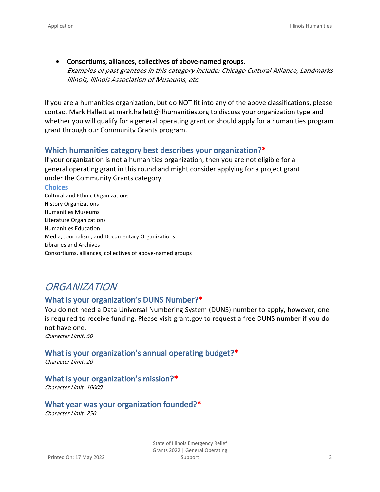• **Consortiums, alliances, collectives of above-named groups.** *Examples of past grantees in this category include: Chicago Cultural Alliance, Landmarks Illinois, Illinois Association of Museums, etc.*

If you are a humanities organization, but do NOT fit into any of the above classifications, please contact Mark Hallett at [mark.hallett@ilhumanities.org](mailto:mark.hallett@ilhumanities.org) to discuss your organization type and whether you will qualify for a general operating grant or should apply for a humanities program grant through our Community Grants program.

#### **Which humanities category best describes your organization?\***

If your organization is not a humanities organization, then you are not eligible for a general operating grant in this round and might consider applying for a project grant under the [Community Grants](https://www.ilhumanities.org/program/vision-action-and-multiplier-vam-grants/) category.

#### **Choices**

Cultural and Ethnic Organizations History Organizations Humanities Museums Literature Organizations Humanities Education Media, Journalism, and Documentary Organizations Libraries and Archives Consortiums, alliances, collectives of above-named groups

## *ORGANIZATION*

#### **What is your organization's DUNS Number?\***

You do not need a Data Universal Numbering System (DUNS) number to apply, however, one is required to receive funding. Please visit grant.gov to request a free DUNS number if you do not have one.

*Character Limit: 50*

#### **What is your organization's annual operating budget?\***

*Character Limit: 20*

#### **What is your organization's mission?\***

*Character Limit: 10000*

#### **What year was your organization founded?\***

*Character Limit: 250*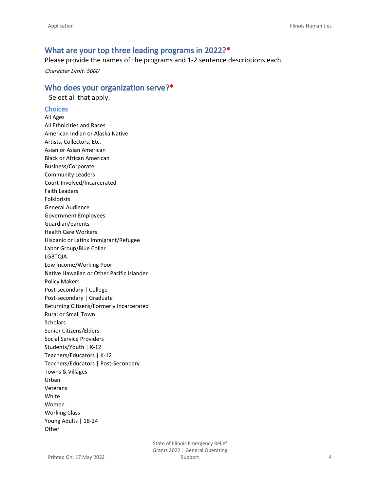#### **What are your top three leading programs in 2022?\***

Please provide the names of the programs and 1-2 sentence descriptions each.

*Character Limit: 5000*

#### **Who does your organization serve?\***

Select all that apply.

#### **Choices**

All Ages All Ethnicities and Races American Indian or Alaska Native Artists, Collectors, Etc. Asian or Asian American Black or African American Business/Corporate Community Leaders Court-Involved/Incarcerated Faith Leaders Folklorists General Audience Government Employees Guardian/parents Health Care Workers Hispanic or Latinx Immigrant/Refugee Labor Group/Blue Collar LGBTQIA Low Income/Working Poor Native Hawaiian or Other Pacific Islander Policy Makers Post-secondary | College Post-secondary | Graduate Returning Citizens/Formerly Incarcerated Rural or Small Town **Scholars** Senior Citizens/Elders Social Service Providers Students/Youth | K-12 Teachers/Educators | K-12 Teachers/Educators | Post-Secondary Towns & Villages Urban Veterans White Women Working Class Young Adults | 18-24 **Other**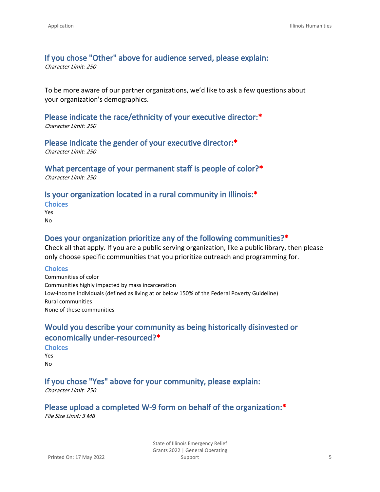### **If you chose "Other" above for audience served, please explain:**

*Character Limit: 250*

To be more aware of our partner organizations, we'd like to ask a few questions about your organization's demographics.

## **Please indicate the race/ethnicity of your executive director:\***

*Character Limit: 250*

#### **Please indicate the gender of your executive director:\***

*Character Limit: 250*

#### **What percentage of your permanent staff is people of color?\***

*Character Limit: 250*

#### **Is your organization located in a rural community in Illinois:\***

**Choices** Yes No

#### **Does your organization prioritize any of the following communities?\***

Check all that apply. If you are a public serving organization, like a public library, then please only choose specific communities that you prioritize outreach and programming for.

#### **Choices**

Communities of color Communities highly impacted by mass incarceration Low-income individuals (defined as living at or below 150% of the Federal Poverty Guideline) Rural communities None of these communities

### **Would you describe your community as being historically disinvested or economically under-resourced?\***

**Choices** Yes No

### **If you chose "Yes" above for your community, please explain:**

*Character Limit: 250*

**Please upload a completed W-9 form on behalf of the organization:\*** *File Size Limit: 3 MB*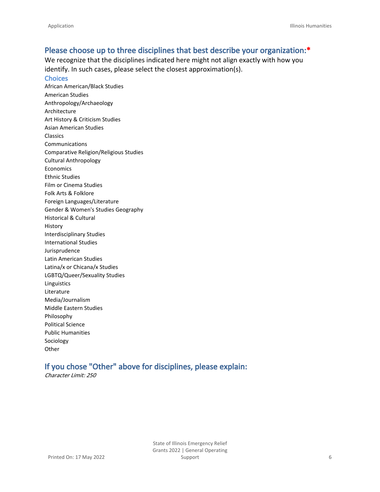#### **Please choose up to three disciplines that best describe your organization:\***

We recognize that the disciplines indicated here might not align exactly with how you identify. In such cases, please select the closest approximation(s).

**Choices** African American/Black Studies American Studies Anthropology/Archaeology Architecture Art History & Criticism Studies Asian American Studies Classics Communications Comparative Religion/Religious Studies Cultural Anthropology **Economics** Ethnic Studies Film or Cinema Studies Folk Arts & Folklore Foreign Languages/Literature Gender & Women's Studies Geography Historical & Cultural History Interdisciplinary Studies International Studies Jurisprudence Latin American Studies Latina/x or Chicana/x Studies LGBTQ/Queer/Sexuality Studies Linguistics Literature Media/Journalism Middle Eastern Studies Philosophy Political Science Public Humanities Sociology Other

### **If you chose "Other" above for disciplines, please explain:**

*Character Limit: 250*

State of Illinois Emergency Relief Grants 2022 | General Operating Support 6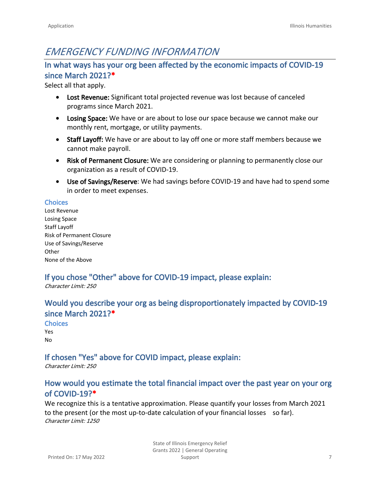## *EMERGENCY FUNDING INFORMATION*

### **In what ways has your org been affected by the economic impacts of COVID-19 since March 2021?\***

Select all that apply.

- **Lost Revenue:** Significant total projected revenue was lost because of canceled programs since March 2021.
- **Losing Space:** We have or are about to lose our space because we cannot make our monthly rent, mortgage, or utility payments.
- **Staff Layoff:** We have or are about to lay off one or more staff members because we cannot make payroll.
- **Risk of Permanent Closure:** We are considering or planning to permanently close our organization as a result of COVID-19.
- **Use of Savings/Reserve**: We had savings before COVID-19 and have had to spend some in order to meet expenses.

#### **Choices**

Lost Revenue Losing Space Staff Layoff Risk of Permanent Closure Use of Savings/Reserve **Other** None of the Above

## **If you chose "Other" above for COVID-19 impact, please explain:**

*Character Limit: 250*

### **Would you describe your org as being disproportionately impacted by COVID-19 since March 2021?\***

**Choices** Yes No

## **If chosen "Yes" above for COVID impact, please explain:**

*Character Limit: 250*

## **How would you estimate the total financial impact over the past year on your org of COVID-19?\***

We recognize this is a tentative approximation. Please quantify your losses from March 2021 to the present (or the most up-to-date calculation of your financial losses so far). *Character Limit: 1250*

> State of Illinois Emergency Relief Grants 2022 | General Operating Support 7